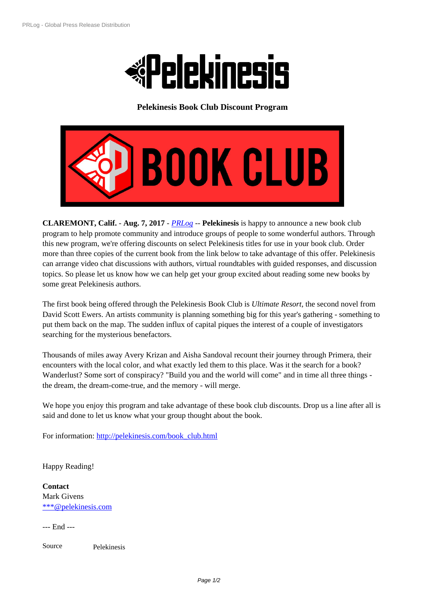

**[Pelekinesis Book Club Discount Program](https://biz.prlog.org/pelekinesis/)**



**CLAREMONT, Calif.** - **Aug. 7, 2017** - *PRLog* -- **Pelekinesis** is happy to announce a new book club progr[am to help promote community and introduce groups of people to some wonderful authors](https://www.prlog.org/12656767-pelekinesis-book-club.jpg). Through this new program, we're offering discounts on select Pelekinesis titles for use in your book club. Order more than three copies of the current book from the link below to take advantage of this offer. Pelekinesis can arrange video chat discussions with [authors,](https://www.prlog.org) virtual roundtables with guided responses, and discussion topics. So please let us know how we can help get your group excited about reading some new books by some great Pelekinesis authors.

The first book being offered through the Pelekinesis Book Club is *Ultimate Resort*, the second novel from David Scott Ewers. An artists community is planning something big for this year's gathering - something to put them back on the map. The sudden influx of capital piques the interest of a couple of investigators searching for the mysterious benefactors.

Thousands of miles away Avery Krizan and Aisha Sandoval recount their journey through Primera, their encounters with the local color, and what exactly led them to this place. Was it the search for a book? Wanderlust? Some sort of conspiracy? "Build you and the world will come" and in time all three things the dream, the dream-come-true, and the memory - will merge.

We hope you enjoy this program and take advantage of these book club discounts. Drop us a line after all is said and done to let us know what your group thought about the book.

For information: http://pelekinesis.com/book\_club.html

Happy Reading!

**Contact** Mark Givens \*\*\*@pelekinesis.com

--- End ---

[Source](https://www.prlog.org/email-contact.html#12656767) Pelekinesis